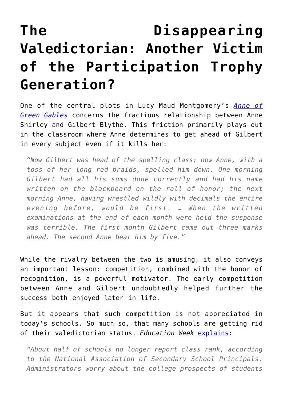## **[The Disappearing](https://intellectualtakeout.org/2017/06/the-disappearing-valedictorian-another-victim-of-the-participation-trophy-generation/) [Valedictorian: Another Victim](https://intellectualtakeout.org/2017/06/the-disappearing-valedictorian-another-victim-of-the-participation-trophy-generation/) [of the Participation Trophy](https://intellectualtakeout.org/2017/06/the-disappearing-valedictorian-another-victim-of-the-participation-trophy-generation/) [Generation?](https://intellectualtakeout.org/2017/06/the-disappearing-valedictorian-another-victim-of-the-participation-trophy-generation/)**

One of the central plots in Lucy Maud Montgomery's *[Anne of](https://www.amazon.com/gp/product/0553609416/ref=as_li_qf_sp_asin_il_tl?ie=UTF8&tag=intelltakeo0d-20&camp=1789&creative=9325&linkCode=as2&creativeASIN=0553609416&linkId=36e0e14d0c797a2896bcd7949422865d) [Green Gables](https://www.amazon.com/gp/product/0553609416/ref=as_li_qf_sp_asin_il_tl?ie=UTF8&tag=intelltakeo0d-20&camp=1789&creative=9325&linkCode=as2&creativeASIN=0553609416&linkId=36e0e14d0c797a2896bcd7949422865d)* concerns the fractious relationship between Anne Shirley and Gilbert Blythe. This friction primarily plays out in the classroom where Anne determines to get ahead of Gilbert in every subject even if it kills her:

*"Now Gilbert was head of the spelling class; now Anne, with a toss of her long red braids, spelled him down. One morning Gilbert had all his sums done correctly and had his name written on the blackboard on the roll of honor; the next morning Anne, having wrestled wildly with decimals the entire evening before, would be first. … When the written examinations at the end of each month were held the suspense was terrible. The first month Gilbert came out three marks ahead. The second Anne beat him by five."*

While the rivalry between the two is amusing, it also conveys an important lesson: competition, combined with the honor of recognition, is a powerful motivator. The early competition between Anne and Gilbert undoubtedly helped further the success both enjoyed later in life.

But it appears that such competition is not appreciated in today's schools. So much so, that many schools are getting rid of their valedictorian status. *Education Week* [explains](http://www.edweek.org/ew/articles/2017/06/15/valedictorians-days-numbered-schools-rethink-class_ap.html?utm_source=fb&utm_medium=rss&utm_campaign=mrss&cmp=RSS-FEED):

*"About half of schools no longer report class rank, according to the National Association of Secondary School Principals. Administrators worry about the college prospects of students*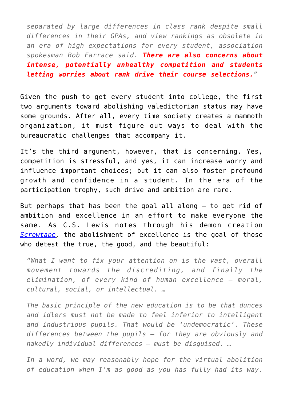*separated by large differences in class rank despite small differences in their GPAs, and view rankings as obsolete in an era of high expectations for every student, association spokesman Bob Farrace said. There are also concerns about intense, potentially unhealthy competition and students letting worries about rank drive their course selections."*

Given the push to get every student into college, the first two arguments toward abolishing valedictorian status may have some grounds. After all, every time society creates a mammoth organization, it must figure out ways to deal with the bureaucratic challenges that accompany it.

It's the third argument, however, that is concerning. Yes, competition is stressful, and yes, it can increase worry and influence important choices; but it can also foster profound growth and confidence in a student. In the era of the participation trophy, such drive and ambition are rare.

But perhaps that has been the goal all along – to get rid of ambition and excellence in an effort to make everyone the same. As C.S. Lewis notes through his demon creation *[Screwtape](https://www.amazon.com/gp/product/0060652934/ref=as_li_qf_sp_asin_il_tl?ie=UTF8&tag=intelltakeo0d-20&camp=1789&creative=9325&linkCode=as2&creativeASIN=0060652934&linkId=82857176125921c40cd494a918d8c0e0),* the abolishment of excellence is the goal of those who detest the true, the good, and the beautiful:

*"What I want to fix your attention on is the vast, overall movement towards the discrediting, and finally the elimination, of every kind of human excellence – moral, cultural, social, or intellectual. …*

*The basic principle of the new education is to be that dunces and idlers must not be made to feel inferior to intelligent and industrious pupils. That would be 'undemocratic'. These differences between the pupils – for they are obviously and nakedly individual differences – must be disguised. …*

*In a word, we may reasonably hope for the virtual abolition of education when I'm as good as you has fully had its way.*